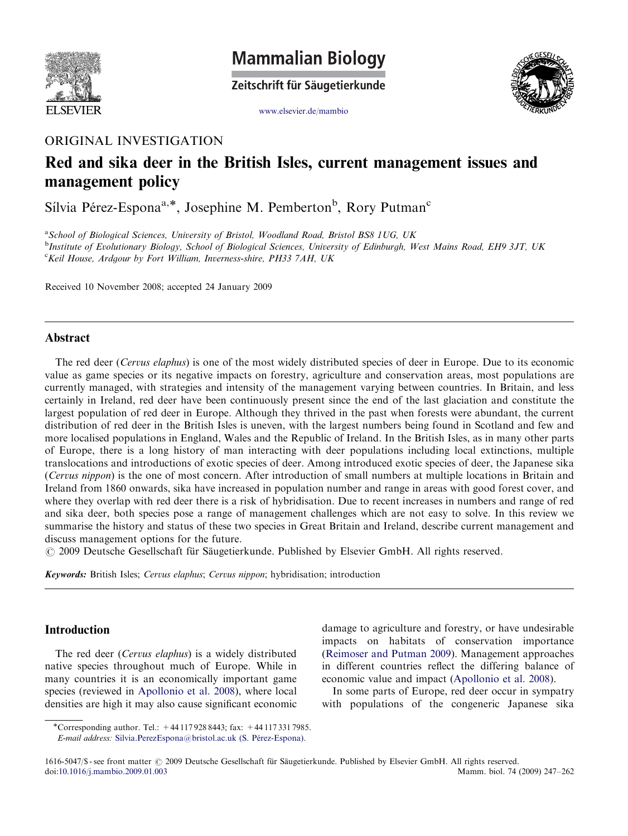

**Mammalian Biology** 

Zeitschrift für Säugetierkunde



<www.elsevier.de/mambio>

### ORIGINAL INVESTIGATION

## Red and sika deer in the British Isles, current management issues and management policy

Sílvia Pérez-Espona<sup>a,\*</sup>, Josephine M. Pemberton<sup>b</sup>, Rory Putman<sup>c</sup>

<sup>a</sup> School of Biological Sciences, University of Bristol, Woodland Road, Bristol BS8 1UG, UK **b**Institute of Evolutionary Biology, School of Biological Sciences, University of Edinburgh, West Mains Road, EH9 3JT, UK <sup>c</sup>Keil House, Ardgour by Fort William, Inverness-shire, PH33 7AH, UK

Received 10 November 2008; accepted 24 January 2009

#### Abstract

The red deer (Cervus elaphus) is one of the most widely distributed species of deer in Europe. Due to its economic value as game species or its negative impacts on forestry, agriculture and conservation areas, most populations are currently managed, with strategies and intensity of the management varying between countries. In Britain, and less certainly in Ireland, red deer have been continuously present since the end of the last glaciation and constitute the largest population of red deer in Europe. Although they thrived in the past when forests were abundant, the current distribution of red deer in the British Isles is uneven, with the largest numbers being found in Scotland and few and more localised populations in England, Wales and the Republic of Ireland. In the British Isles, as in many other parts of Europe, there is a long history of man interacting with deer populations including local extinctions, multiple translocations and introductions of exotic species of deer. Among introduced exotic species of deer, the Japanese sika (Cervus nippon) is the one of most concern. After introduction of small numbers at multiple locations in Britain and Ireland from 1860 onwards, sika have increased in population number and range in areas with good forest cover, and where they overlap with red deer there is a risk of hybridisation. Due to recent increases in numbers and range of red and sika deer, both species pose a range of management challenges which are not easy to solve. In this review we summarise the history and status of these two species in Great Britain and Ireland, describe current management and discuss management options for the future.

© 2009 Deutsche Gesellschaft für Säugetierkunde. Published by Elsevier GmbH. All rights reserved.

Keywords: British Isles; Cervus elaphus; Cervus nippon; hybridisation; introduction

#### Introduction

The red deer (Cervus elaphus) is a widely distributed native species throughout much of Europe. While in many countries it is an economically important game species (reviewed in [Apollonio et al. 2008\)](#page--1-0), where local densities are high it may also cause significant economic damage to agriculture and forestry, or have undesirable impacts on habitats of conservation importance ([Reimoser and Putman 2009\)](#page--1-0). Management approaches in different countries reflect the differing balance of economic value and impact [\(Apollonio et al. 2008\)](#page--1-0).

In some parts of Europe, red deer occur in sympatry with populations of the congeneric Japanese sika

<sup>\*</sup>Corresponding author. Tel.: +44 117 928 8443; fax: +44 117 331 7985. E-mail address: [Silvia.PerezEspona@bristol.ac.uk \(S. P](mailto:Silvia.PerezEspona@bristol.ac.uk)érez-Espona).

<sup>1616-5047/\$ -</sup> see front matter © 2009 Deutsche Gesellschaft für Säugetierkunde. Published by Elsevier GmbH. All rights reserved. doi:[10.1016/j.mambio.2009.01.003](dx.doi.org/10.1016/j.mambio.2009.01.003) Mamm. biol. 74 (2009) 247–262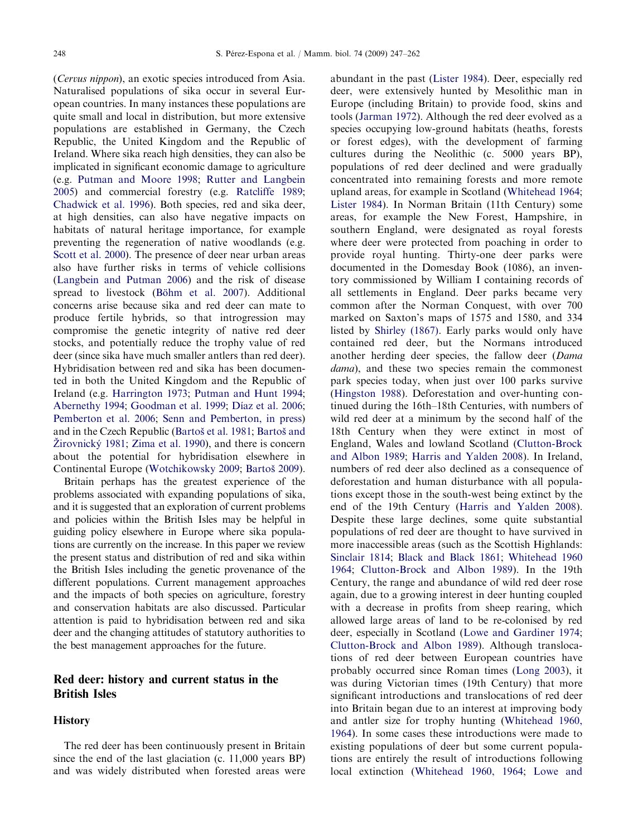(Cervus nippon), an exotic species introduced from Asia. Naturalised populations of sika occur in several European countries. In many instances these populations are quite small and local in distribution, but more extensive populations are established in Germany, the Czech Republic, the United Kingdom and the Republic of Ireland. Where sika reach high densities, they can also be implicated in significant economic damage to agriculture (e.g. [Putman and Moore 1998;](#page--1-0) [Rutter and Langbein](#page--1-0) [2005](#page--1-0)) and commercial forestry (e.g. [Ratcliffe 1989](#page--1-0); [Chadwick et al. 1996](#page--1-0)). Both species, red and sika deer, at high densities, can also have negative impacts on habitats of natural heritage importance, for example preventing the regeneration of native woodlands (e.g. [Scott et al. 2000\)](#page--1-0). The presence of deer near urban areas also have further risks in terms of vehicle collisions ([Langbein and Putman 2006](#page--1-0)) and the risk of disease spread to livestock (Bö[hm et al. 2007](#page--1-0)). Additional concerns arise because sika and red deer can mate to produce fertile hybrids, so that introgression may compromise the genetic integrity of native red deer stocks, and potentially reduce the trophy value of red deer (since sika have much smaller antlers than red deer). Hybridisation between red and sika has been documented in both the United Kingdom and the Republic of Ireland (e.g. [Harrington 1973;](#page--1-0) [Putman and Hunt 1994](#page--1-0); [Abernethy 1994](#page--1-0); [Goodman et al. 1999](#page--1-0); Dí[az et al. 2006](#page--1-0); [Pemberton et al. 2006](#page--1-0); [Senn and Pemberton, in press](#page--1-0)) and in the Czech Republic (Bartoš [et al. 1981;](#page--1-0) [Barto](#page--1-0)š and Ž[irovnick](#page--1-0)ý 1981; [Zima et al. 1990\)](#page--1-0), and there is concern about the potential for hybridisation elsewhere in Continental Europe [\(Wotchikowsky 2009](#page--1-0); [Barto](#page--1-0)š 2009).

Britain perhaps has the greatest experience of the problems associated with expanding populations of sika, and it is suggested that an exploration of current problems and policies within the British Isles may be helpful in guiding policy elsewhere in Europe where sika populations are currently on the increase. In this paper we review the present status and distribution of red and sika within the British Isles including the genetic provenance of the different populations. Current management approaches and the impacts of both species on agriculture, forestry and conservation habitats are also discussed. Particular attention is paid to hybridisation between red and sika deer and the changing attitudes of statutory authorities to the best management approaches for the future.

#### Red deer: history and current status in the British Isles

#### **History**

The red deer has been continuously present in Britain since the end of the last glaciation (c. 11,000 years BP) and was widely distributed when forested areas were abundant in the past ([Lister 1984\)](#page--1-0). Deer, especially red deer, were extensively hunted by Mesolithic man in Europe (including Britain) to provide food, skins and tools ([Jarman 1972](#page--1-0)). Although the red deer evolved as a species occupying low-ground habitats (heaths, forests or forest edges), with the development of farming cultures during the Neolithic (c. 5000 years BP), populations of red deer declined and were gradually concentrated into remaining forests and more remote upland areas, for example in Scotland [\(Whitehead 1964](#page--1-0); [Lister 1984\)](#page--1-0). In Norman Britain (11th Century) some areas, for example the New Forest, Hampshire, in southern England, were designated as royal forests where deer were protected from poaching in order to provide royal hunting. Thirty-one deer parks were documented in the Domesday Book (1086), an inventory commissioned by William I containing records of all settlements in England. Deer parks became very common after the Norman Conquest, with over 700 marked on Saxton's maps of 1575 and 1580, and 334 listed by [Shirley \(1867\)](#page--1-0). Early parks would only have contained red deer, but the Normans introduced another herding deer species, the fallow deer (Dama dama), and these two species remain the commonest park species today, when just over 100 parks survive ([Hingston 1988\)](#page--1-0). Deforestation and over-hunting continued during the 16th–18th Centuries, with numbers of wild red deer at a minimum by the second half of the 18th Century when they were extinct in most of England, Wales and lowland Scotland [\(Clutton-Brock](#page--1-0) [and Albon 1989](#page--1-0); [Harris and Yalden 2008](#page--1-0)). In Ireland, numbers of red deer also declined as a consequence of deforestation and human disturbance with all populations except those in the south-west being extinct by the end of the 19th Century ([Harris and Yalden 2008\)](#page--1-0). Despite these large declines, some quite substantial populations of red deer are thought to have survived in more inaccessible areas (such as the Scottish Highlands: [Sinclair 1814](#page--1-0); [Black and Black 1861](#page--1-0); [Whitehead 1960](#page--1-0) [1964;](#page--1-0) [Clutton-Brock and Albon 1989\)](#page--1-0). In the 19th Century, the range and abundance of wild red deer rose again, due to a growing interest in deer hunting coupled with a decrease in profits from sheep rearing, which allowed large areas of land to be re-colonised by red deer, especially in Scotland ([Lowe and Gardiner 1974](#page--1-0); [Clutton-Brock and Albon 1989\)](#page--1-0). Although translocations of red deer between European countries have probably occurred since Roman times [\(Long 2003](#page--1-0)), it was during Victorian times (19th Century) that more significant introductions and translocations of red deer into Britain began due to an interest at improving body and antler size for trophy hunting ([Whitehead 1960,](#page--1-0) [1964\)](#page--1-0). In some cases these introductions were made to existing populations of deer but some current populations are entirely the result of introductions following local extinction ([Whitehead 1960, 1964](#page--1-0); [Lowe and](#page--1-0)